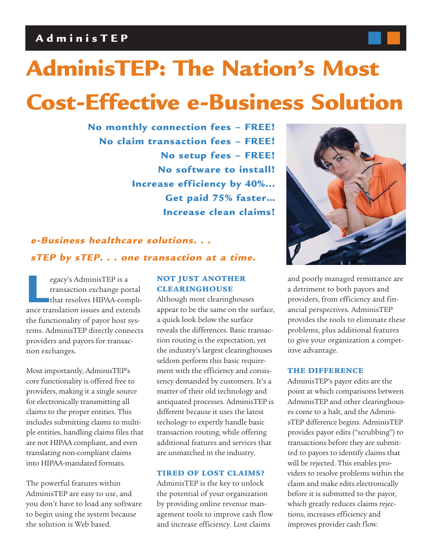## **AdminisTEP**

# **AdminisTEP: The Nation's Most**

## **Cost-Effective e-Business Solution**

**No monthly connection fees – FREE! No claim transaction fees – FREE! No setup fees – FREE! No software to install! Increase efficiency by 40%... Get paid 75% faster… Increase clean claims!**

## **e-Business healthcare solutions. . . sTEP by sTEP. . . one transaction at a time.**

egacy's AdminisTEP is a<br>transaction exchange portal<br>that resolves HIPAA-compli<br>ance translation issues and extends transaction exchange portal that resolves HIPAA-complithe functionality of payor host systems. AdminisTEP directly connects providers and payors for transaction exchanges.

Most importantly, AdminisTEP's core functionality is offered free to providers, making it a single source for electronically transmitting all claims to the proper entities. This includes submitting claims to multiple entities, handling claims files that are not HIPAA compliant, and even translating non-compliant claims into HIPAA-mandated formats.

The powerful features within AdminisTEP are easy to use, and you don't have to load any software to begin using the system because the solution is Web based.

## **NOT JUST ANOTHER CLEARINGHOUSE**

Although most clearinghouses appear to be the same on the surface, a quick look below the surface reveals the differences. Basic transaction routing is the expectation, yet the industry's largest clearinghouses seldom perform this basic requirement with the efficiency and consistency demanded by customers. It's a matter of their old technology and antiquated processes. AdminisTEP is different because it uses the latest techology to expertly handle basic transaction routing, while offering additional features and services that are unmatched in the industry.

#### **TIRED OF LOST CLAIMS?**

AdminisTEP is the key to unlock the potential of your organization by providing online revenue management tools to improve cash flow and increase efficiency. Lost claims



and poorly managed remittance are a detriment to both payors and providers, from efficiency and financial perspectives. AdminisTEP provides the tools to eliminate these problems, plus additional features to give your organization a competitive advantage.

### **THE DIFFERENCE**

AdminisTEP's payor edits are the point at which comparisons between AdminisTEP and other clearinghouses come to a halt, and the AdminisTEP difference begins. AdminisTEP provides payor edits ("scrubbing") to transactions before they are submitted to payors to identify claims that will be rejected. This enables providers to resolve problems within the claim and make edits electronically before it is submitted to the payor, which greatly reduces claims rejections, increases efficiency and improves provider cash flow.